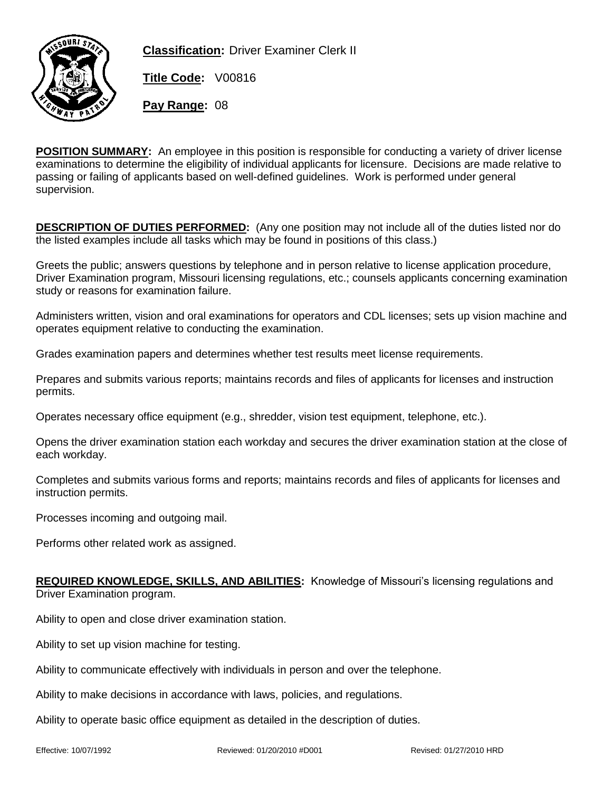

**Classification:** Driver Examiner Clerk II

**Title Code:** V00816

**Pay Range:** 08

**POSITION SUMMARY:** An employee in this position is responsible for conducting a variety of driver license examinations to determine the eligibility of individual applicants for licensure. Decisions are made relative to passing or failing of applicants based on well-defined guidelines. Work is performed under general supervision.

**DESCRIPTION OF DUTIES PERFORMED:** (Any one position may not include all of the duties listed nor do the listed examples include all tasks which may be found in positions of this class.)

Greets the public; answers questions by telephone and in person relative to license application procedure, Driver Examination program, Missouri licensing regulations, etc.; counsels applicants concerning examination study or reasons for examination failure.

Administers written, vision and oral examinations for operators and CDL licenses; sets up vision machine and operates equipment relative to conducting the examination.

Grades examination papers and determines whether test results meet license requirements.

Prepares and submits various reports; maintains records and files of applicants for licenses and instruction permits.

Operates necessary office equipment (e.g., shredder, vision test equipment, telephone, etc.).

Opens the driver examination station each workday and secures the driver examination station at the close of each workday.

Completes and submits various forms and reports; maintains records and files of applicants for licenses and instruction permits.

Processes incoming and outgoing mail.

Performs other related work as assigned.

## **REQUIRED KNOWLEDGE, SKILLS, AND ABILITIES:** Knowledge of Missouri's licensing regulations and Driver Examination program.

Ability to open and close driver examination station.

Ability to set up vision machine for testing.

Ability to communicate effectively with individuals in person and over the telephone.

Ability to make decisions in accordance with laws, policies, and regulations.

Ability to operate basic office equipment as detailed in the description of duties.